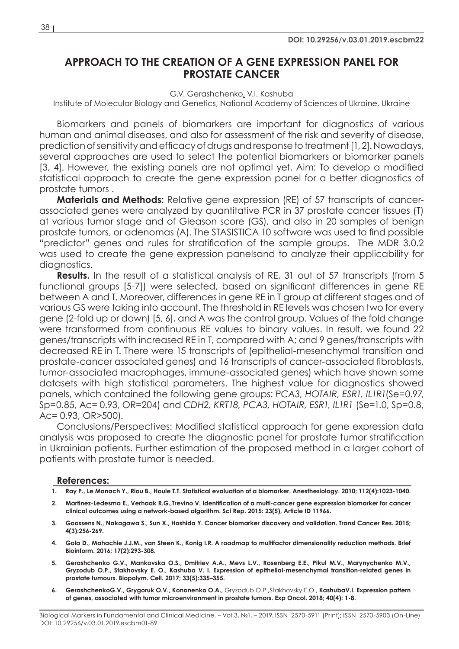## **APPROACH TO THE CREATION OF A GENE EXPRESSION PANEL FOR PROSTATE CANCER**

G.V. Gerashchenko, V.I. Kashuba

Institute of Molecular Biology and Genetics, National Academy of Sciences of Ukraine, Ukraine

Biomarkers and panels of biomarkers are important for diagnostics of various human and animal diseases, and also for assessment of the risk and severity of disease, prediction of sensitivity and efficacy of drugs and response to treatment [1, 2]. Nowadays, several approaches are used to select the potential biomarkers or biomarker panels [3, 4]. However, the existing panels are not optimal yet. Aim: To develop a modified statistical approach to create the gene expression panel for a better diagnostics of prostate tumors .

**Materials and Methods:** Relative gene expression (RE) of 57 transcripts of cancerassociated genes were analyzed by quantitative PCR in 37 prostate cancer tissues (T) at various tumor stage and of Gleason score (GS), and also in 20 samples of benign prostate tumors, or adenomas (A). The STASISTICA 10 software was used to find possible "predictor" genes and rules for stratification of the sample groups. The MDR 3.0.2 was used to create the gene expression panelsand to analyze their applicability for diagnostics.

**Results.** In the result of a statistical analysis of RE, 31 out of 57 transcripts (from 5 functional groups [5-7]) were selected, based on significant differences in gene RE between A and T. Moreover, differences in gene RE in T group at different stages and of various GS were taking into account. The threshold in RE levels was chosen two for every gene (2-fold up or down) [5, 6], and A was the control group. Values of the fold change were transformed from continuous RE values to binary values. In result, we found 22 genes/transcripts with increased RE in T, compared with A; and 9 genes/transcripts with decreased RE in T. There were 15 transcripts of (epithelial-mesenchymal transition and prostate-cancer associated genes) and 16 transcripts of cancer-associated fibroblasts, tumor-associated macrophages, immune-associated genes) which have shown some datasets with high statistical parameters. The highest value for diagnostics showed panels, which contained the following gene groups: *PCA3, HOTAIR, ESR1, IL1R1*(Se=0.97, Sp=0.85, Ac= 0.93, OR=204) and *CDH2, KRT18, PCA3, HOTAIR, ESR1, IL1R1* (Se=1.0, Sp=0.8, Ac= 0.93, OR>500).

Conclusions/Perspectives: Modified statistical approach for gene expression data analysis was proposed to create the diagnostic panel for prostate tumor stratification in Ukrainian patients. Further estimation of the proposed method in a larger cohort of patients with prostate tumor is needed.

## **References:**

- **1. Ray P., Le Manach Y., Riou B., Houle T.T. Statistical evaluation of a biomarker. Anesthesiology. 2010; 112(4):1023-1040.**
- **2. Martinez-Ledesma E., Verhaak R.G.,Trevino V. Identification of a multi-cancer gene expression biomarker for cancer clinical outcomes using a network-based algorithm. Sci Rep. 2015: 23(5), Article ID 11966.**
- **3. Goossens N., Nakagawa S., Sun X., Hoshida Y. Cancer biomarker discovery and validation. Transl Cancer Res. 2015; 4(3):256-269.**
- **4. Gola D., Mahachie J.J.M., van Steen K., Konig I.R. A roadmap to multifactor dimensionality reduction methods. Brief Bioinform. 2016; 17(2):293-308.**
- **5. Gerashchenko G.V., Mankovska O.S., Dmitriev A.A., Mevs L.V., Rosenberg E.E., Pikul M.V., Marynychenko M.V., Gryzodub O.P., Stakhovsky E. O., Kashuba V. I. Expression of epithelial-mesenchymal transition-related genes in prostate tumours. Biopolym. Cell. 2017; 33(5):335–355.**
- **6. GerashchenkoG.V., Grygoruk O.V., Kononenko O.A.,** Gryzodub O.P.**,**Stakhovsky E.O., **KashubaV.I. Expression pattern of genes, associated with tumor microenvironment in prostate tumors. Exp Oncol. 2018; 40(4): 1-8.**